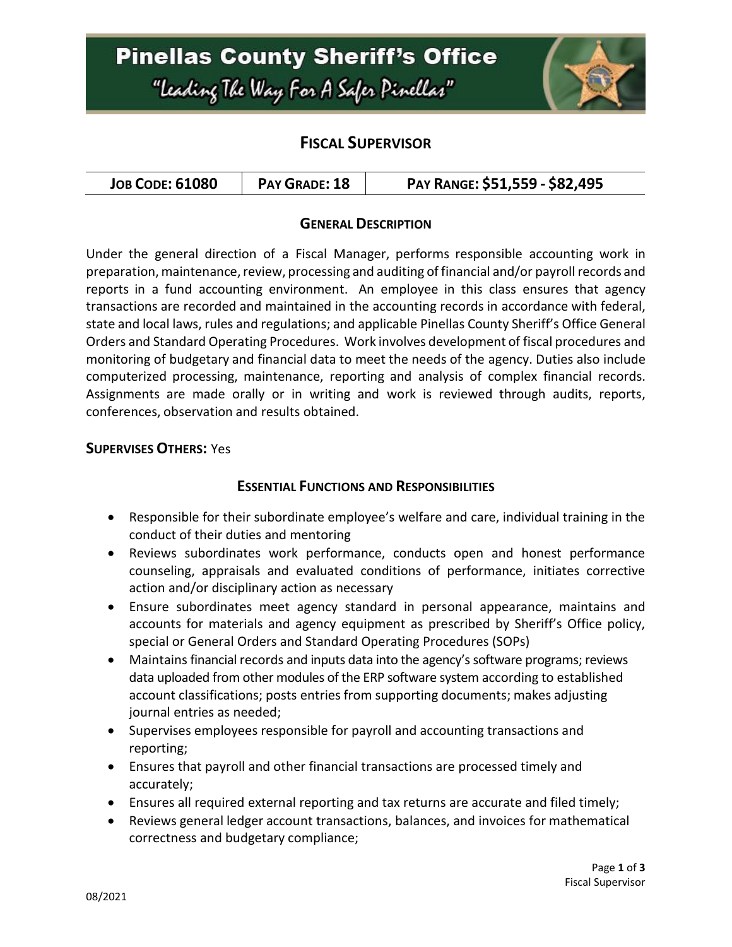# **Pinellas County Sheriff's Office** "Leading The Way For A Safer Pinellar"



### **FISCAL SUPERVISOR**

| <b>JOB CODE: 61080</b><br>PAY GRADE: 18 | PAY RANGE: \$51,559 - \$82,495 |
|-----------------------------------------|--------------------------------|
|-----------------------------------------|--------------------------------|

### **GENERAL DESCRIPTION**

Under the general direction of a Fiscal Manager, performs responsible accounting work in preparation, maintenance, review, processing and auditing of financial and/or payroll records and reports in a fund accounting environment. An employee in this class ensures that agency transactions are recorded and maintained in the accounting records in accordance with federal, state and local laws, rules and regulations; and applicable Pinellas County Sheriff's Office General Orders and Standard Operating Procedures. Work involves development of fiscal procedures and monitoring of budgetary and financial data to meet the needs of the agency. Duties also include computerized processing, maintenance, reporting and analysis of complex financial records. Assignments are made orally or in writing and work is reviewed through audits, reports, conferences, observation and results obtained.

### **SUPERVISES OTHERS:** Yes

### **ESSENTIAL FUNCTIONS AND RESPONSIBILITIES**

- Responsible for their subordinate employee's welfare and care, individual training in the conduct of their duties and mentoring
- Reviews subordinates work performance, conducts open and honest performance counseling, appraisals and evaluated conditions of performance, initiates corrective action and/or disciplinary action as necessary
- Ensure subordinates meet agency standard in personal appearance, maintains and accounts for materials and agency equipment as prescribed by Sheriff's Office policy, special or General Orders and Standard Operating Procedures (SOPs)
- Maintains financial records and inputs data into the agency's software programs; reviews data uploaded from other modules of the ERP software system according to established account classifications; posts entries from supporting documents; makes adjusting journal entries as needed;
- Supervises employees responsible for payroll and accounting transactions and reporting;
- Ensures that payroll and other financial transactions are processed timely and accurately;
- Ensures all required external reporting and tax returns are accurate and filed timely;
- Reviews general ledger account transactions, balances, and invoices for mathematical correctness and budgetary compliance;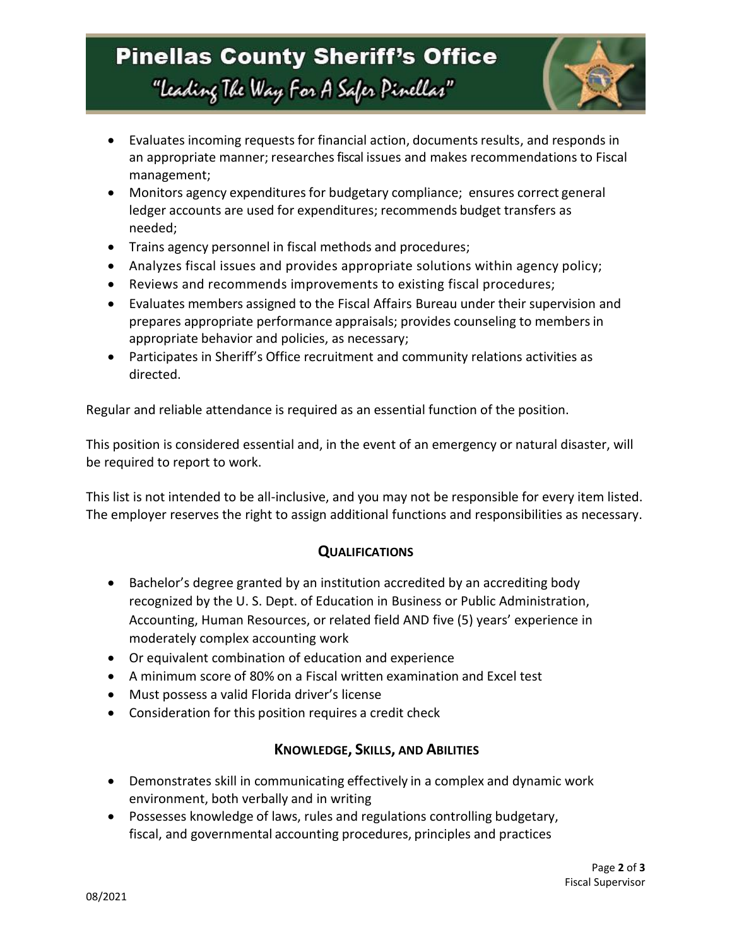## **Pinellas County Sheriff's Office** "Leading The Way For A Safer Pinellar"



- Evaluates incoming requests for financial action, documents results, and responds in an appropriate manner; researches fiscal issues and makes recommendations to Fiscal management;
- Monitors agency expenditures for budgetary compliance; ensures correct general ledger accounts are used for expenditures; recommends budget transfers as needed;
- Trains agency personnel in fiscal methods and procedures;
- Analyzes fiscal issues and provides appropriate solutions within agency policy;
- Reviews and recommends improvements to existing fiscal procedures;
- Evaluates members assigned to the Fiscal Affairs Bureau under their supervision and prepares appropriate performance appraisals; provides counseling to membersin appropriate behavior and policies, as necessary;
- Participates in Sheriff's Office recruitment and community relations activities as directed.

Regular and reliable attendance is required as an essential function of the position.

This position is considered essential and, in the event of an emergency or natural disaster, will be required to report to work.

This list is not intended to be all-inclusive, and you may not be responsible for every item listed. The employer reserves the right to assign additional functions and responsibilities as necessary.

### **QUALIFICATIONS**

- Bachelor's degree granted by an institution accredited by an accrediting body recognized by the U. S. Dept. of Education in Business or Public Administration, Accounting, Human Resources, or related field AND five (5) years' experience in moderately complex accounting work
- Or equivalent combination of education and experience
- A minimum score of 80% on a Fiscal written examination and Excel test
- Must possess a valid Florida driver's license
- Consideration for this position requires a credit check

### **KNOWLEDGE, SKILLS, AND ABILITIES**

- Demonstrates skill in communicating effectively in a complex and dynamic work environment, both verbally and in writing
- Possesses knowledge of laws, rules and regulations controlling budgetary, fiscal, and governmental accounting procedures, principles and practices